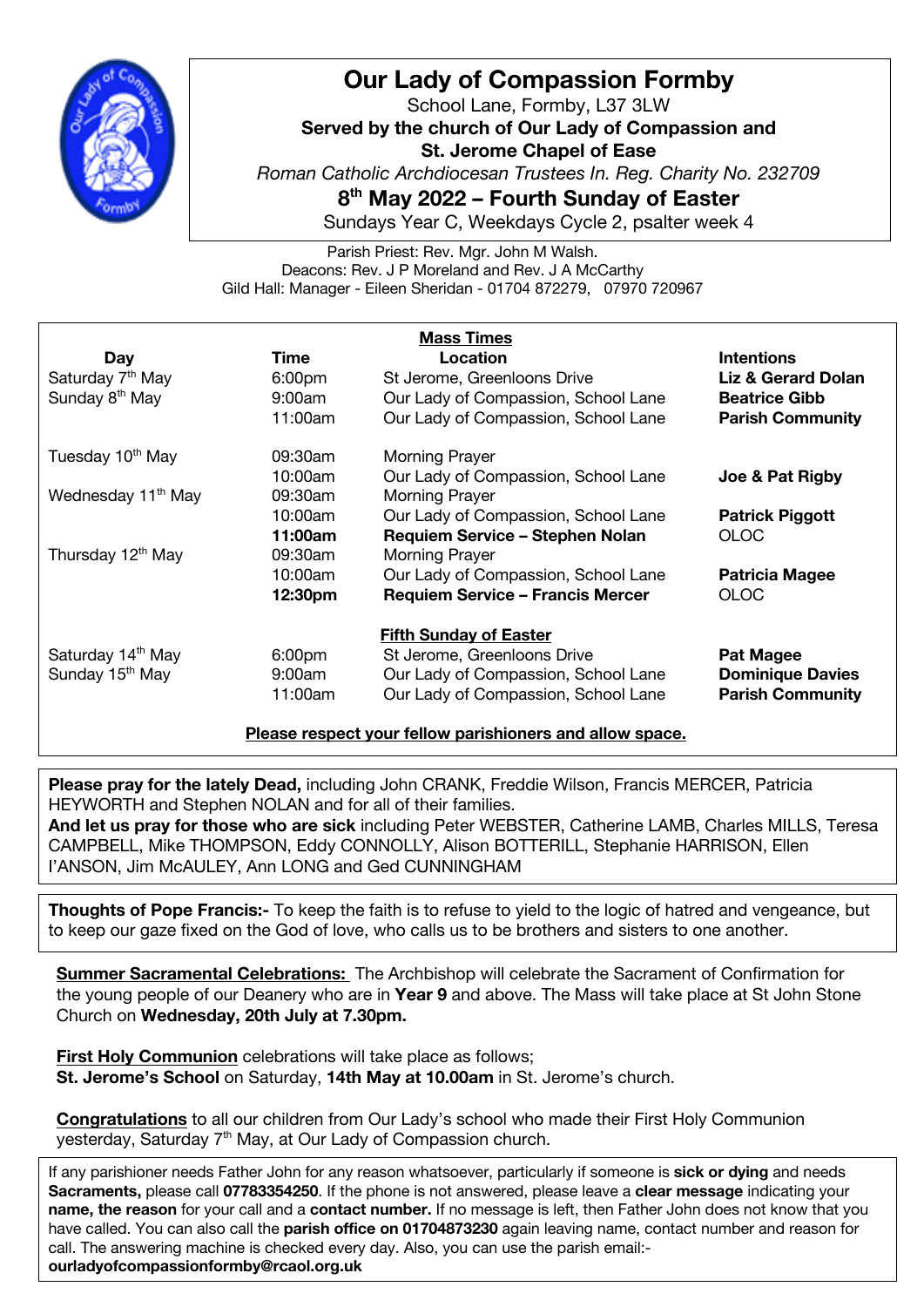

## **Our Lady of Compassion Formby**

School Lane, Formby, L37 3LW **Served by the church of Our Lady of Compassion and St. Jerome Chapel of Ease** *Roman Catholic Archdiocesan Trustees In. Reg. Charity No. 232709* **8th May 2022 – Fourth Sunday of Easter**

Sundays Year C, Weekdays Cycle 2, psalter week 4

Parish Priest: Rev. Mgr. John M Walsh. Deacons: Rev. J P Moreland and Rev. J A McCarthy Gild Hall: Manager - Eileen Sheridan - 01704 872279, 07970 720967

| <b>Mass Times</b>              |                    |                                         |                         |
|--------------------------------|--------------------|-----------------------------------------|-------------------------|
| Day                            | Time               | Location                                | <b>Intentions</b>       |
| Saturday 7 <sup>th</sup> May   | 6:00 <sub>pm</sub> | St Jerome, Greenloons Drive             | Liz & Gerard Dolan      |
| Sunday 8 <sup>th</sup> May     | 9:00am             | Our Lady of Compassion, School Lane     | <b>Beatrice Gibb</b>    |
|                                | 11:00am            | Our Lady of Compassion, School Lane     | <b>Parish Community</b> |
| Tuesday 10 <sup>th</sup> May   | 09:30am            | <b>Morning Prayer</b>                   |                         |
|                                | 10:00am            | Our Lady of Compassion, School Lane     | Joe & Pat Rigby         |
| Wednesday 11 <sup>th</sup> May | 09:30am            | <b>Morning Prayer</b>                   |                         |
|                                | 10:00am            | Our Lady of Compassion, School Lane     | <b>Patrick Piggott</b>  |
|                                | 11:00am            | Requiem Service - Stephen Nolan         | <b>OLOC</b>             |
| Thursday 12 <sup>th</sup> May  | 09:30am            | <b>Morning Prayer</b>                   |                         |
|                                | 10:00am            | Our Lady of Compassion, School Lane     | <b>Patricia Magee</b>   |
|                                | 12:30pm            | <b>Requiem Service - Francis Mercer</b> | <b>OLOC</b>             |
|                                |                    | <b>Fifth Sunday of Easter</b>           |                         |
| Saturday 14 <sup>th</sup> May  | 6:00 <sub>pm</sub> | St Jerome, Greenloons Drive             | <b>Pat Magee</b>        |
| Sunday 15 <sup>th</sup> May    | 9:00am             | Our Lady of Compassion, School Lane     | <b>Dominique Davies</b> |
|                                | 11:00am            | Our Lady of Compassion, School Lane     | <b>Parish Community</b> |
|                                |                    |                                         |                         |

**Please respect your fellow parishioners and allow space.**

**Please pray for the lately Dead,** including John CRANK, Freddie Wilson, Francis MERCER, Patricia HEYWORTH and Stephen NOLAN and for all of their families.

**And let us pray for those who are sick** including Peter WEBSTER, Catherine LAMB, Charles MILLS, Teresa CAMPBELL, Mike THOMPSON, Eddy CONNOLLY, Alison BOTTERILL, Stephanie HARRISON, Ellen I'ANSON, Jim McAULEY, Ann LONG and Ged CUNNINGHAM

**Thoughts of Pope Francis:-** To keep the faith is to refuse to yield to the logic of hatred and vengeance, but to keep our gaze fixed on the God of love, who calls us to be brothers and sisters to one another.

**Summer Sacramental Celebrations:** The Archbishop will celebrate the Sacrament of Confirmation for the young people of our Deanery who are in **Year 9** and above. The Mass will take place at St John Stone Church on **Wednesday, 20th July at 7.30pm.**

**First Holy Communion** celebrations will take place as follows; **St. Jerome's School** on Saturday, **14th May at 10.00am** in St. Jerome's church.

**Congratulations** to all our children from Our Lady's school who made their First Holy Communion yesterday, Saturday 7<sup>th</sup> May, at Our Lady of Compassion church.

If any parishioner needs Father John for any reason whatsoever, particularly if someone is **sick or dying** and needs **Sacraments,** please call **07783354250**. If the phone is not answered, please leave a **clear message** indicating your **name, the reason** for your call and a **contact number.** If no message is left, then Father John does not know that you have called. You can also call the **parish office on 01704873230** again leaving name, contact number and reason for call. The answering machine is checked every day. Also, you can use the parish email: **ourladyofcompassionformby@rcaol.org.uk**